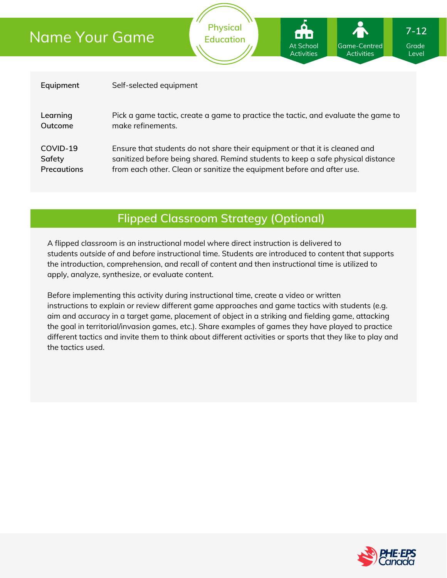# Name Your Game

| Equipment          | Self-selected equipment                                                            |
|--------------------|------------------------------------------------------------------------------------|
| Learning           | Pick a game tactic, create a game to practice the tactic, and evaluate the game to |
| Outcome            | make refinements.                                                                  |
| COVID-19           | Ensure that students do not share their equipment or that it is cleaned and        |
| Safety             | sanitized before being shared. Remind students to keep a safe physical distance    |
| <b>Precautions</b> | from each other. Clean or sanitize the equipment before and after use.             |

**Physical Education**

# **Flipped Classroom Strategy (Optional)**

A flipped classroom is an instructional model where direct instruction is delivered to students *outside of* and *before* instructional time. Students are introduced to content that supports the introduction, comprehension, and recall of content and then instructional time is utilized to apply, analyze, synthesize, or evaluate content.

Before implementing this activity during instructional time, create a video or written instructions to explain or review different game approaches and game tactics with students (e.g. aim and accuracy in a target game, placement of object in a striking and fielding game, attacking the goal in territorial/invasion games, etc.). Share examples of games they have played to practice different tactics and invite them to think about different activities or sports that they like to play and the tactics used.



Grade Level

Game-Centred Activities

At School Activities

**7-12**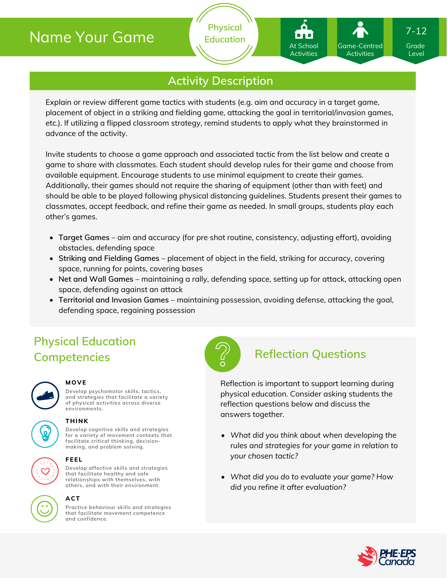# Name Your Game

# **Activity Description**

**Physical Education**

Explain or review different game tactics with students (e.g. aim and accuracy in a target game, placement of object in a striking and fielding game, attacking the goal in territorial/invasion games, etc.). If utilizing a flipped classroom strategy, remind students to apply what they brainstormed in advance of the activity.

Invite students to choose a game approach and associated tactic from the list below and create a game to share with classmates. Each student should develop rules for their game and choose from available equipment. Encourage students to use minimal equipment to create their games. Additionally, their games should not require the sharing of equipment (other than with feet) and should be able to be played following physical distancing guidelines. Students present their games to classmates, accept feedback, and refine their game as needed. In small groups, students play each other's games.

- **Target Games** aim and accuracy (for pre shot routine, consistency, adjusting effort), avoiding obstacles, defending space
- **Striking and Fielding Games** placement of object in the field, striking for accuracy, covering space, running for points, covering bases
- **Net and Wall Games** maintaining a rally, defending space, setting up for attack, attacking open space, defending against an attack
- **Territorial and Invasion Games** maintaining possession, avoiding defense, attacking the goal, defending space, regaining possession

# **Physical Education Competencies Reflection Questions**



### **MOVE**

**Develop psychomotor skills, tactics, and strategies that facilitate a variety of physical activities across diverse environments.**





### **THINK**

**Develop cognitive skills and strategies for a variety of movement contexts that facilitate critical thinking, decision making, and problem solving.**



### **FEEL**

**Develop affective skills and strategies that facilitate healthy and safe relationships with themselves, with others, and with their environment.**



### **ACT**

**Practice behaviour skills and strategies that facilitate movement competence and confidence.**



Reflection is important to support learning during physical education. Consider asking students the reflection questions below and discuss the answers together.

- *What did you think about when developing the rules and strategies for your game in relation to your chosen tactic?*
- *What did you do to evaluate your game? How did you refine it after evaluation?*



Grade Level

7-12

Game-Centred Activities

At School Activities